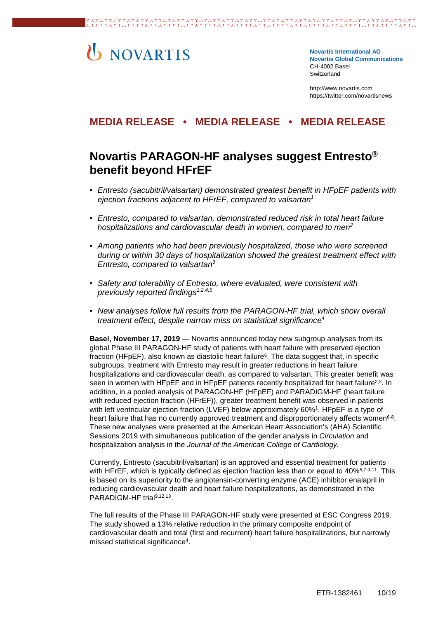# **U** NOVARTIS

**Novartis International AG Novartis Global Communications**  CH-4002 Basel **Switzerland** 

[http://www.novartis.com](http://www.novartis.com/) https://twitter.com/novartisnews

## **MEDIA RELEASE • MEDIA RELEASE • MEDIA RELEASE**

## **Novartis PARAGON-HF analyses suggest Entresto® benefit beyond HFrEF**

- *Entresto (sacubitril/valsartan) demonstrated greatest benefit in HFpEF patients with ejection fractions adjacent to HFrEF, compared to valsartan<sup>1</sup>*
- *Entresto, compared to valsartan, demonstrated reduced risk in total heart failure hospitalizations and cardiovascular death in women, compared to men2*
- *Among patients who had been previously hospitalized, those who were screened during or within 30 days of hospitalization showed the greatest treatment effect with Entresto, compared to valsartan3*
- *Safety and tolerability of Entresto, where evaluated, were consistent with previously reported findings1,2,4,5*
- *New analyses follow full results from the PARAGON-HF trial, which show overall treatment effect, despite narrow miss on statistical significance<sup>4</sup>*

**Basel, November 17, 2019** — Novartis announced today new subgroup analyses from its global Phase III PARAGON-HF study of patients with heart failure with preserved ejection fraction (HFpEF), also known as diastolic heart failure<sup>6</sup>. The data suggest that, in specific subgroups, treatment with Entresto may result in greater reductions in heart failure hospitalizations and cardiovascular death, as compared to valsartan. This greater benefit was seen in women with HFpEF and in HFpEF patients recently hospitalized for heart failure<sup>2,3</sup>. In addition, in a pooled analysis of PARAGON-HF (HFpEF) and PARADIGM-HF (heart failure with reduced ejection fraction (HFrEF)), greater treatment benefit was observed in patients with left ventricular ejection fraction (LVEF) below approximately 60%1. HFpEF is a type of heart failure that has no currently approved treatment and disproportionately affects women<sup>6-8</sup>. These new analyses were presented at the American Heart Association's (AHA) Scientific Sessions 2019 with simultaneous publication of the gender analysis in *Circulation* and hospitalization analysis in the *Journal of the American College of Cardiology.*

Currently, Entresto (sacubitril/valsartan) is an approved and essential treatment for patients with HFrEF, which is typically defined as ejection fraction less than or equal to 40%5,7,9-11. This is based on its superiority to the angiotensin-converting enzyme (ACE) inhibitor enalapril in reducing cardiovascular death and heart failure hospitalizations, as demonstrated in the PARADIGM-HF trial<sup>9,12,13</sup>.

The full results of the Phase III PARAGON-HF study were presented at ESC Congress 2019. The study showed a 13% relative reduction in the primary composite endpoint of cardiovascular death and total (first and recurrent) heart failure hospitalizations, but narrowly missed statistical significance4.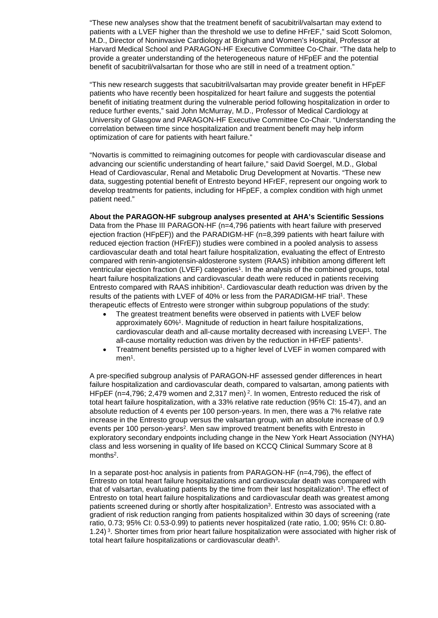"These new analyses show that the treatment benefit of sacubitril/valsartan may extend to patients with a LVEF higher than the threshold we use to define HFrEF," said Scott Solomon, M.D., Director of Noninvasive Cardiology at Brigham and Women's Hospital, Professor at Harvard Medical School and PARAGON-HF Executive Committee Co-Chair. "The data help to provide a greater understanding of the heterogeneous nature of HFpEF and the potential benefit of sacubitril/valsartan for those who are still in need of a treatment option."

"This new research suggests that sacubitril/valsartan may provide greater benefit in HFpEF patients who have recently been hospitalized for heart failure and suggests the potential benefit of initiating treatment during the vulnerable period following hospitalization in order to reduce further events," said John McMurray, M.D., Professor of Medical Cardiology at University of Glasgow and PARAGON-HF Executive Committee Co-Chair. "Understanding the correlation between time since hospitalization and treatment benefit may help inform optimization of care for patients with heart failure."

"Novartis is committed to reimagining outcomes for people with cardiovascular disease and advancing our scientific understanding of heart failure," said David Soergel, M.D., Global Head of Cardiovascular, Renal and Metabolic Drug Development at Novartis. "These new data, suggesting potential benefit of Entresto beyond HFrEF, represent our ongoing work to develop treatments for patients, including for HFpEF, a complex condition with high unmet patient need."

**About the PARAGON-HF subgroup analyses presented at AHA's Scientific Sessions** Data from the Phase III PARAGON-HF (n=4,796 patients with heart failure with preserved ejection fraction (HFpEF)) and the PARADIGM-HF (n=8,399 patients with heart failure with reduced ejection fraction (HFrEF)) studies were combined in a pooled analysis to assess cardiovascular death and total heart failure hospitalization, evaluating the effect of Entresto compared with renin-angiotensin-aldosterone system (RAAS) inhibition among different left ventricular ejection fraction (LVEF) categories<sup>1</sup>. In the analysis of the combined groups, total heart failure hospitalizations and cardiovascular death were reduced in patients receiving Entresto compared with RAAS inhibition<sup>1</sup>. Cardiovascular death reduction was driven by the results of the patients with LVEF of 40% or less from the PARADIGM-HF trial1. These therapeutic effects of Entresto were stronger within subgroup populations of the study:

- The greatest treatment benefits were observed in patients with LVEF below approximately 60%1. Magnitude of reduction in heart failure hospitalizations, cardiovascular death and all-cause mortality decreased with increasing LVEF1. The all-cause mortality reduction was driven by the reduction in HFrEF patients<sup>1</sup>.
- Treatment benefits persisted up to a higher level of LVEF in women compared with men<sup>1</sup>.

A pre-specified subgroup analysis of PARAGON-HF assessed gender differences in heart failure hospitalization and cardiovascular death, compared to valsartan, among patients with HFpEF ( $n=4,796$ ; 2,479 women and 2,317 men)<sup>2</sup>. In women, Entresto reduced the risk of total heart failure hospitalization, with a 33% relative rate reduction (95% CI: 15-47), and an absolute reduction of 4 events per 100 person-years. In men, there was a 7% relative rate increase in the Entresto group versus the valsartan group, with an absolute increase of 0.9 events per 100 person-years<sup>2</sup>. Men saw improved treatment benefits with Entresto in exploratory secondary endpoints including change in the New York Heart Association (NYHA) class and less worsening in quality of life based on KCCQ Clinical Summary Score at 8 months<sup>2</sup>.

In a separate post-hoc analysis in patients from PARAGON-HF (n=4,796), the effect of Entresto on total heart failure hospitalizations and cardiovascular death was compared with that of valsartan, evaluating patients by the time from their last hospitalization<sup>3</sup>. The effect of Entresto on total heart failure hospitalizations and cardiovascular death was greatest among patients screened during or shortly after hospitalization3. Entresto was associated with a gradient of risk reduction ranging from patients hospitalized within 30 days of screening (rate ratio, 0.73; 95% CI: 0.53-0.99) to patients never hospitalized (rate ratio, 1.00; 95% CI: 0.80- 1.24)  $3$ . Shorter times from prior heart failure hospitalization were associated with higher risk of total heart failure hospitalizations or cardiovascular death<sup>3</sup>.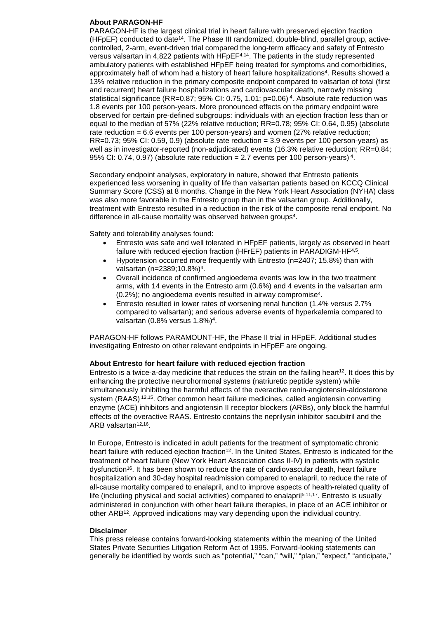#### **About PARAGON-HF**

PARAGON-HF is the largest clinical trial in heart failure with preserved ejection fraction (HFpEF) conducted to date14. The Phase III randomized, double-blind, parallel group, activecontrolled, 2-arm, event-driven trial compared the long-term efficacy and safety of Entresto versus valsartan in 4,822 patients with HFpEF4,14. The patients in the study represented ambulatory patients with established HFpEF being treated for symptoms and comorbidities, approximately half of whom had a history of heart failure hospitalizations<sup>4</sup>. Results showed a 13% relative reduction in the primary composite endpoint compared to valsartan of total (first and recurrent) heart failure hospitalizations and cardiovascular death, narrowly missing statistical significance (RR=0.87; 95% CI: 0.75, 1.01; p=0.06)<sup>4</sup>. Absolute rate reduction was 1.8 events per 100 person-years. More pronounced effects on the primary endpoint were observed for certain pre-defined subgroups: individuals with an ejection fraction less than or equal to the median of 57% (22% relative reduction; RR=0.78; 95% CI: 0.64, 0.95) (absolute rate reduction = 6.6 events per 100 person-years) and women (27% relative reduction; RR=0.73; 95% CI: 0.59, 0.9) (absolute rate reduction = 3.9 events per 100 person-years) as well as in investigator-reported (non-adjudicated) events (16.3% relative reduction; RR=0.84; 95% CI: 0.74, 0.97) (absolute rate reduction = 2.7 events per 100 person-years)<sup>4</sup>.

Secondary endpoint analyses, exploratory in nature, showed that Entresto patients experienced less worsening in quality of life than valsartan patients based on KCCQ Clinical Summary Score (CSS) at 8 months. Change in the New York Heart Association (NYHA) class was also more favorable in the Entresto group than in the valsartan group. Additionally, treatment with Entresto resulted in a reduction in the risk of the composite renal endpoint. No difference in all-cause mortality was observed between groups<sup>4</sup>.

Safety and tolerability analyses found:

- Entresto was safe and well tolerated in HFpEF patients, largely as observed in heart failure with reduced ejection fraction (HFrEF) patients in PARADIGM-HF<sup>4,5</sup>.
- Hypotension occurred more frequently with Entresto (n=2407; 15.8%) than with valsartan (n=2389;10.8%)4.
- Overall incidence of confirmed angioedema events was low in the two treatment arms, with 14 events in the Entresto arm (0.6%) and 4 events in the valsartan arm (0.2%); no angioedema events resulted in airway compromise4.
- Entresto resulted in lower rates of worsening renal function (1.4% versus 2.7% compared to valsartan); and serious adverse events of hyperkalemia compared to valsartan (0.8% versus 1.8%)4.

PARAGON-HF follows PARAMOUNT-HF, the Phase II trial in HFpEF. Additional studies investigating Entresto on other relevant endpoints in HFpEF are ongoing.

### **About Entresto for heart failure with reduced ejection fraction**

Entresto is a twice-a-day medicine that reduces the strain on the failing heart<sup>12</sup>. It does this by enhancing the protective neurohormonal systems (natriuretic peptide system) while simultaneously inhibiting the harmful effects of the overactive renin-angiotensin-aldosterone system (RAAS)<sup>12,15</sup>. Other common heart failure medicines, called angiotensin converting enzyme (ACE) inhibitors and angiotensin II receptor blockers (ARBs), only block the harmful effects of the overactive RAAS. Entresto contains the neprilysin inhibitor sacubitril and the ARB valsartan<sup>12,16</sup>.

In Europe, Entresto is indicated in adult patients for the treatment of symptomatic chronic heart failure with reduced ejection fraction<sup>12</sup>. In the United States, Entresto is indicated for the treatment of heart failure (New York Heart Association class II-IV) in patients with systolic dysfunction<sup>16</sup>. It has been shown to reduce the rate of cardiovascular death, heart failure hospitalization and 30-day hospital readmission compared to enalapril, to reduce the rate of all-cause mortality compared to enalapril, and to improve aspects of health-related quality of life (including physical and social activities) compared to enalapril<sup>5,11,17</sup>. Entresto is usually administered in conjunction with other heart failure therapies, in place of an ACE inhibitor or other ARB12. Approved indications may vary depending upon the individual country.

#### **Disclaimer**

This press release contains forward-looking statements within the meaning of the United States Private Securities Litigation Reform Act of 1995. Forward-looking statements can generally be identified by words such as "potential," "can," "will," "plan," "expect," "anticipate,"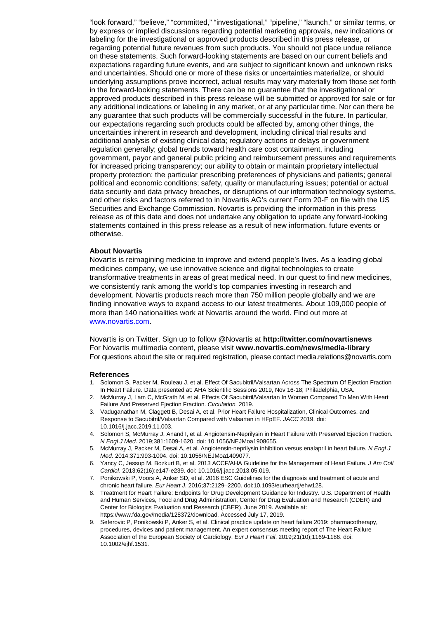"look forward," "believe," "committed," "investigational," "pipeline," "launch," or similar terms, or by express or implied discussions regarding potential marketing approvals, new indications or labeling for the investigational or approved products described in this press release, or regarding potential future revenues from such products. You should not place undue reliance on these statements. Such forward-looking statements are based on our current beliefs and expectations regarding future events, and are subject to significant known and unknown risks and uncertainties. Should one or more of these risks or uncertainties materialize, or should underlying assumptions prove incorrect, actual results may vary materially from those set forth in the forward-looking statements. There can be no guarantee that the investigational or approved products described in this press release will be submitted or approved for sale or for any additional indications or labeling in any market, or at any particular time. Nor can there be any guarantee that such products will be commercially successful in the future. In particular, our expectations regarding such products could be affected by, among other things, the uncertainties inherent in research and development, including clinical trial results and additional analysis of existing clinical data; regulatory actions or delays or government regulation generally; global trends toward health care cost containment, including government, payor and general public pricing and reimbursement pressures and requirements for increased pricing transparency; our ability to obtain or maintain proprietary intellectual property protection; the particular prescribing preferences of physicians and patients; general political and economic conditions; safety, quality or manufacturing issues; potential or actual data security and data privacy breaches, or disruptions of our information technology systems, and other risks and factors referred to in Novartis AG's current Form 20-F on file with the US Securities and Exchange Commission. Novartis is providing the information in this press release as of this date and does not undertake any obligation to update any forward-looking statements contained in this press release as a result of new information, future events or otherwise.

#### **About Novartis**

Novartis is reimagining medicine to improve and extend people's lives. As a leading global medicines company, we use innovative science and digital technologies to create transformative treatments in areas of great medical need. In our quest to find new medicines, we consistently rank among the world's top companies investing in research and development. Novartis products reach more than 750 million people globally and we are finding innovative ways to expand access to our latest treatments. About 109,000 people of more than 140 nationalities work at Novartis around the world. Find out more at www.novartis.com.

Novartis is on Twitter. Sign up to follow @Novartis at **[http://twitter.com/novartisnews](https://twitter.com/novartisnews)** For Novartis multimedia content, please visit **[www.novartis.com/news/media-library](http://www.novartis.com/news/media-library)** For questions about the site or required registration, please contact [media.relations@novartis.com](mailto:media.relations@novartis.com)

#### **References**

- 1. Solomon S, Packer M, Rouleau J, et al. Effect Of Sacubitril/Valsartan Across The Spectrum Of Ejection Fraction In Heart Failure. Data presented at: AHA Scientific Sessions 2019, Nov 16-18; Philadelphia, USA.
- 2. McMurray J, Lam C, McGrath M, et al. Effects Of Sacubitril/Valsartan In Women Compared To Men With Heart Failure And Preserved Ejection Fraction. *Circulation.* 2019.
- 3. Vaduganathan M, Claggett B, Desai A, et al. Prior Heart Failure Hospitalization, Clinical Outcomes, and Response to Sacubitril/Valsartan Compared with Valsartan in HFpEF. *JACC* 2019. doi: 10.1016/j.jacc.2019.11.003.
- 4. Solomon S, McMurray J, Anand I, et al. Angiotensin-Neprilysin in Heart Failure with Preserved Ejection Fraction. *N Engl J Med*. 2019;381:1609-1620. doi: 10.1056/NEJMoa1908655.
- 5. McMurray J, Packer M, Desai A, et al. Angiotensin-neprilysin inhibition versus enalapril in heart failure. *N Engl J Med*. 2014;371:993-1004. doi: 10.1056/NEJMoa1409077.
- 6. Yancy C, Jessup M, Bozkurt B, et al. 2013 ACCF/AHA Guideline for the Management of Heart Failure. *J Am Coll Cardiol*. 2013;62(16):e147-e239. doi: 10.1016/j.jacc.2013.05.019.
- 7. Ponikowski P, Voors A, Anker SD, et al. 2016 ESC Guidelines for the diagnosis and treatment of acute and chronic heart failure. *Eur Heart J*. 2016;37:2129–2200. doi:10.1093/eurheartj/ehw128.
- 8. Treatment for Heart Failure: Endpoints for Drug Development Guidance for Industry. U.S. Department of Health and Human Services, Food and Drug Administration, Center for Drug Evaluation and Research (CDER) and Center for Biologics Evaluation and Research (CBER). June 2019. Available at: https://www.fda.gov/media/128372/download. Accessed July 17, 2019.
- 9. Seferovic P, Ponikowski P, Anker S, et al. Clinical practice update on heart failure 2019: pharmacotherapy, procedures, devices and patient management. An expert consensus meeting report of The Heart Failure Association of the European Society of Cardiology. *Eur J Heart Fail*. 2019;21(10);1169-1186. doi: 10.1002/ejhf.1531.